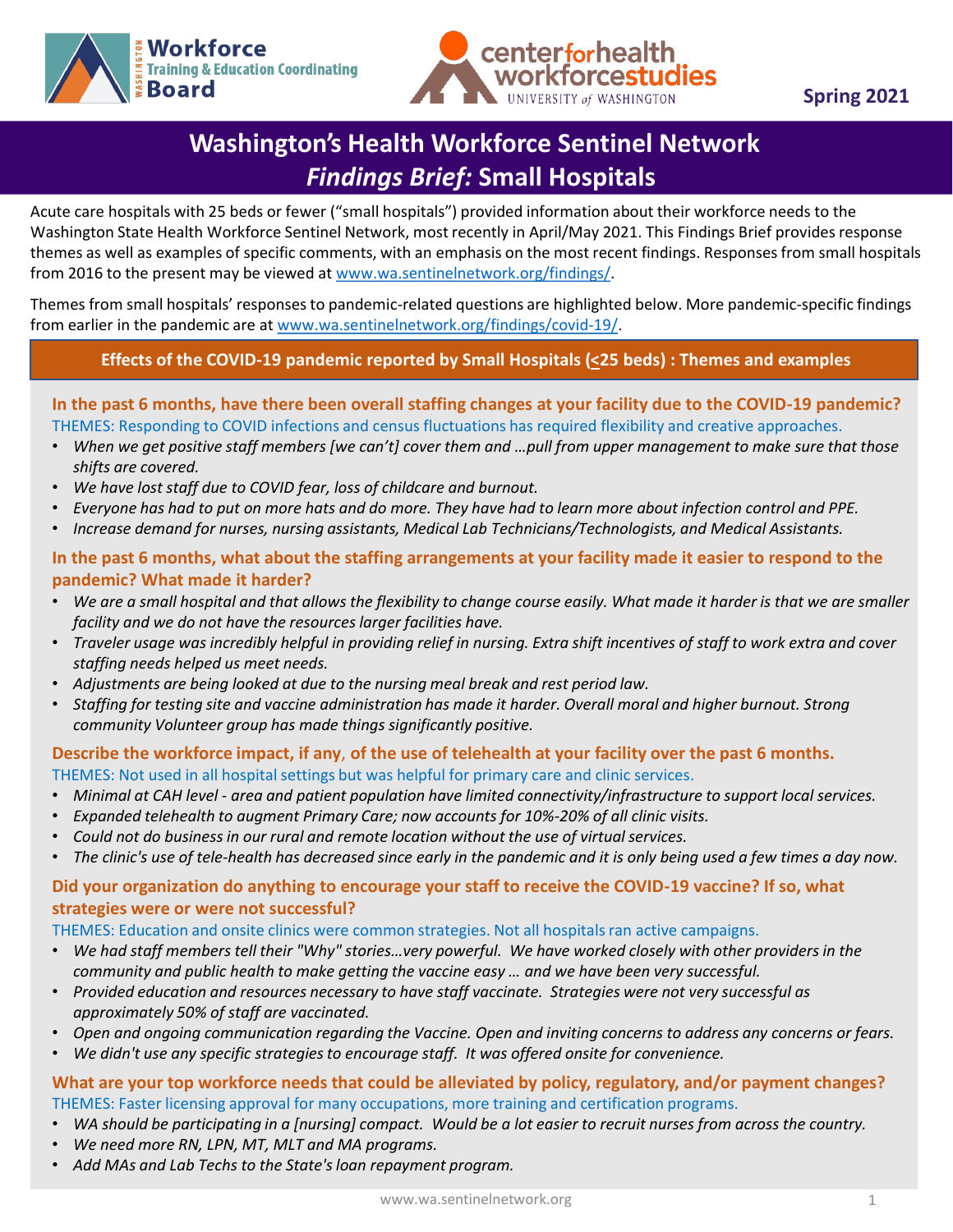



**Spring 2021**

# **Washington's Health Workforce Sentinel Network**  *Findings Brief:* **Small Hospitals**

Acute care hospitals with 25 beds or fewer ("small hospitals") provided information about their workforce needs to the Washington State Health Workforce Sentinel Network, most recently in April/May 2021. This Findings Brief provides response themes as well as examples of specific comments, with an emphasis on the most recent findings. Responses from small hospitals from 2016 to the present may be viewed at [www.wa.sentinelnetwork.org/findings/](http://www.wa.sentinelnetwork.org/findings/).

Themes from small hospitals' responses to pandemic-related questions are highlighted below. More pandemic-specific findings from earlier in the pandemic are at [www.wa.sentinelnetwork.org/findings/covid-19/](https://wa.sentinelnetwork.org/findings/covid-19/).

### **Effects of the COVID-19 pandemic reported by Small Hospitals (<25 beds) : Themes and examples**

In the past of months, have there been overan staring enarges at your namity due to the covid-15 pander.<br>THEMES: Responding to COVID infections and census fluctuations has required flexibility and creative approaches. **In the past 6 months, have there been overall staffing changes at your facility due to the COVID-19 pandemic?** 

- *When we get positive staff members [we can't] cover them and …pull from upper management to make sure that those shifts are covered.*
- *We have lost staff due to COVID fear, loss of childcare and burnout.*
- *Everyone has had to put on more hats and do more. They have had to learn more about infection control and PPE.*
- *Increase demand for nurses, nursing assistants, Medical Lab Technicians/Technologists, and Medical Assistants.*

#### **In the past 6 months, what about the staffing arrangements at your facility made it easier to respond to the pandemic? What made it harder?**

- *We are a small hospital and that allows the flexibility to change course easily. What made it harder is that we are smaller facility and we do not have the resources larger facilities have.*
- *Traveler usage was incredibly helpful in providing relief in nursing. Extra shift incentives of staff to work extra and cover staffing needs helped us meet needs.*
- *Adjustments are being looked at due to the nursing meal break and rest period law.*
- *Staffing for testing site and vaccine administration has made it harder. Overall moral and higher burnout. Strong community Volunteer group has made things significantly positive.*

**Describe the workforce impact, if any**, **of the use of telehealth at your facility over the past 6 months.** THEMES: Not used in all hospital settings but was helpful for primary care and clinic services.

- *Minimal at CAH level - area and patient population have limited connectivity/infrastructure to support local services.*
- *Expanded telehealth to augment Primary Care; now accounts for 10%-20% of all clinic visits.*
- *Could not do business in our rural and remote location without the use of virtual services.*
- *The clinic's use of tele-health has decreased since early in the pandemic and it is only being used a few times a day now.*

#### **Did your organization do anything to encourage your staff to receive the COVID-19 vaccine? If so, what strategies were or were not successful?**

THEMES: Education and onsite clinics were common strategies. Not all hospitals ran active campaigns.

- *We had staff members tell their "Why" stories…very powerful. We have worked closely with other providers in the community and public health to make getting the vaccine easy … and we have been very successful.*
- *Provided education and resources necessary to have staff vaccinate. Strategies were not very successful as approximately 50% of staff are vaccinated.*
- *Open and ongoing communication regarding the Vaccine. Open and inviting concerns to address any concerns or fears.*
- *We didn't use any specific strategies to encourage staff. It was offered onsite for convenience.*

#### **What are your top workforce needs that could be alleviated by policy, regulatory, and/or payment changes?**  THEMES: Faster licensing approval for many occupations, more training and certification programs.

- *WA should be participating in a [nursing] compact. Would be a lot easier to recruit nurses from across the country.*
- *We need more RN, LPN, MT, MLT and MA programs.*
- *Add MAs and Lab Techs to the State's loan repayment program.*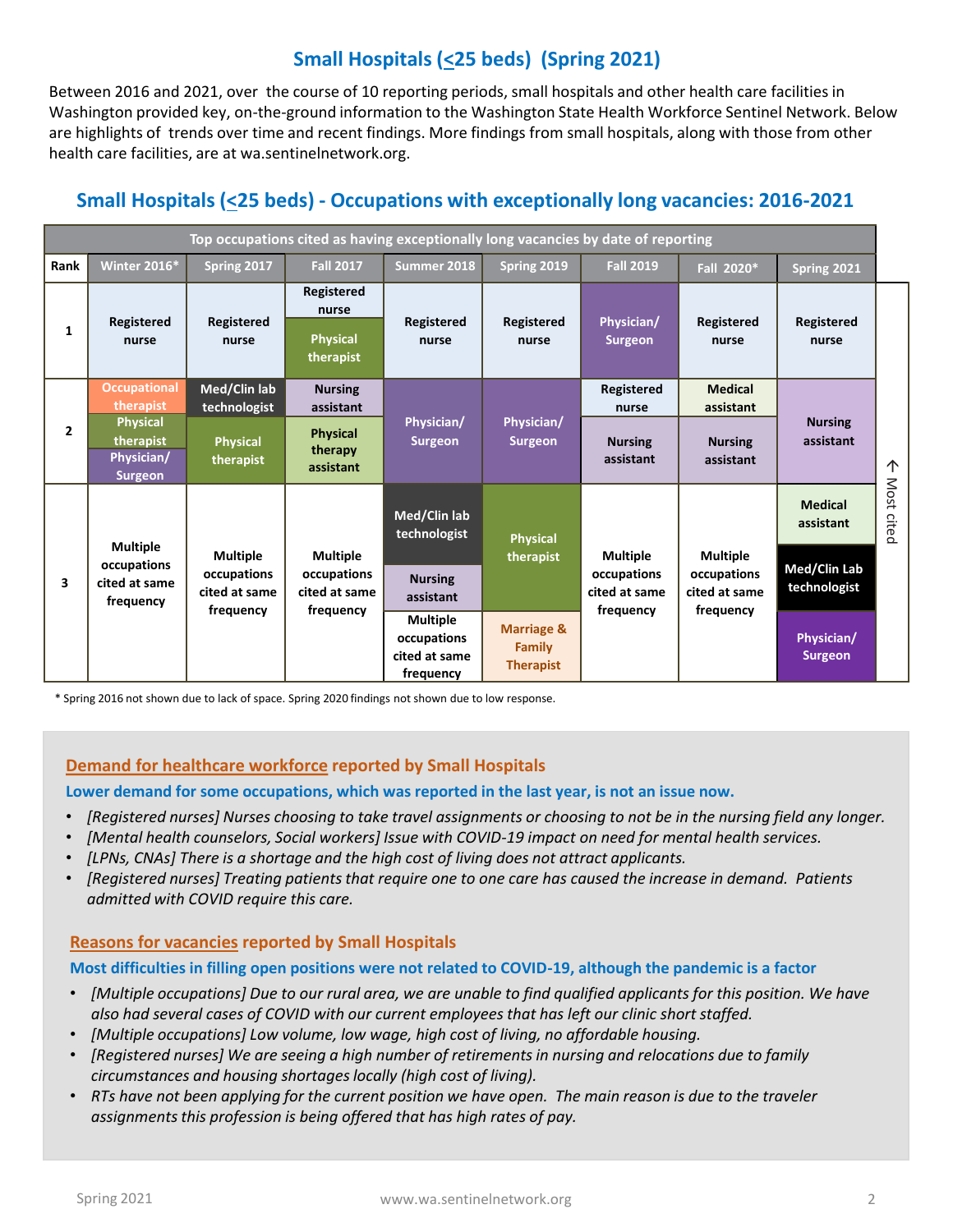## **Small Hospitals (<25 beds) (Spring 2021)**

Between 2016 and 2021, over the course of 10 reporting periods, small hospitals and other health care facilities in Washington provided key, on-the-ground information to the Washington State Health Workforce Sentinel Network. Below are highlights of trends over time and recent findings. More findings from small hospitals, along with those from other health care facilities, are at wa.sentinelnetwork.org.

### **Small Hospitals (<25 beds) - Occupations with exceptionally long vacancies: 2016-2021**

| Top occupations cited as having exceptionally long vacancies by date of reporting |                                                              |                                                              |                                                              |                                                              |                                                            |                                                              |                                                              |                              |                      |
|-----------------------------------------------------------------------------------|--------------------------------------------------------------|--------------------------------------------------------------|--------------------------------------------------------------|--------------------------------------------------------------|------------------------------------------------------------|--------------------------------------------------------------|--------------------------------------------------------------|------------------------------|----------------------|
| Rank                                                                              | <b>Winter 2016*</b>                                          | Spring 2017                                                  | <b>Fall 2017</b>                                             | Summer 2018                                                  | Spring 2019                                                | <b>Fall 2019</b>                                             | Fall 2020*                                                   | Spring 2021                  |                      |
| $\mathbf{1}$                                                                      | Registered<br>nurse                                          | <b>Registered</b><br>nurse                                   | Registered<br>nurse<br><b>Physical</b><br>therapist          | <b>Registered</b><br>nurse                                   | Registered<br>nurse                                        | Physician/<br><b>Surgeon</b>                                 | Registered<br>nurse                                          | Registered<br>nurse          |                      |
| $\overline{2}$                                                                    | <b>Occupational</b><br>therapist                             | Med/Clin lab<br>technologist                                 | <b>Nursing</b><br>assistant                                  | Physician/<br>Surgeon                                        | Physician/<br><b>Surgeon</b>                               | Registered<br>nurse                                          | <b>Medical</b><br>assistant                                  |                              |                      |
|                                                                                   | <b>Physical</b><br>therapist<br>Physician/<br><b>Surgeon</b> | <b>Physical</b><br>therapist                                 | <b>Physical</b><br>therapy<br>assistant                      |                                                              |                                                            | <b>Nursing</b><br>assistant                                  | <b>Nursing</b><br>assistant                                  | <b>Nursing</b><br>assistant  | 个                    |
| 3                                                                                 | <b>Multiple</b><br>occupations<br>cited at same<br>frequency | <b>Multiple</b><br>occupations<br>cited at same<br>frequency | <b>Multiple</b><br>occupations<br>cited at same<br>frequency | Med/Clin lab<br>technologist                                 | <b>Physical</b><br>therapist                               | <b>Multiple</b><br>occupations<br>cited at same<br>frequency | <b>Multiple</b><br>occupations<br>cited at same<br>frequency | <b>Medical</b><br>assistant  | <b>Most</b><br>cited |
|                                                                                   |                                                              |                                                              |                                                              | <b>Nursing</b><br>assistant                                  |                                                            |                                                              |                                                              | Med/Clin Lab<br>technologist |                      |
|                                                                                   |                                                              |                                                              |                                                              | <b>Multiple</b><br>occupations<br>cited at same<br>frequency | <b>Marriage &amp;</b><br><b>Family</b><br><b>Therapist</b> |                                                              |                                                              | Physician/<br><b>Surgeon</b> |                      |

\* Spring 2016 not shown due to lack of space. Spring 2020 findings not shown due to low response.

#### **Demand for healthcare workforce reported by Small Hospitals**

**Lower demand for some occupations, which was reported in the last year, is not an issue now.** 

- *[Registered nurses] Nurses choosing to take travel assignments or choosing to not be in the nursing field any longer.*
- *[Mental health counselors, Social workers] Issue with COVID-19 impact on need for mental health services.*
- *[LPNs, CNAs] There is a shortage and the high cost of living does not attract applicants.*
- *[Registered nurses] Treating patients that require one to one care has caused the increase in demand. Patients admitted with COVID require this care.*

#### **Reasons for vacancies reported by Small Hospitals**

#### **Most difficulties in filling open positions were not related to COVID-19, although the pandemic is a factor**

- *[Multiple occupations] Due to our rural area, we are unable to find qualified applicants for this position. We have also had several cases of COVID with our current employees that has left our clinic short staffed.*
- *[Multiple occupations] Low volume, low wage, high cost of living, no affordable housing.*
- *[Registered nurses] We are seeing a high number of retirements in nursing and relocations due to family circumstances and housing shortages locally (high cost of living).*
- *RTs have not been applying for the current position we have open. The main reason is due to the traveler assignments this profession is being offered that has high rates of pay.*